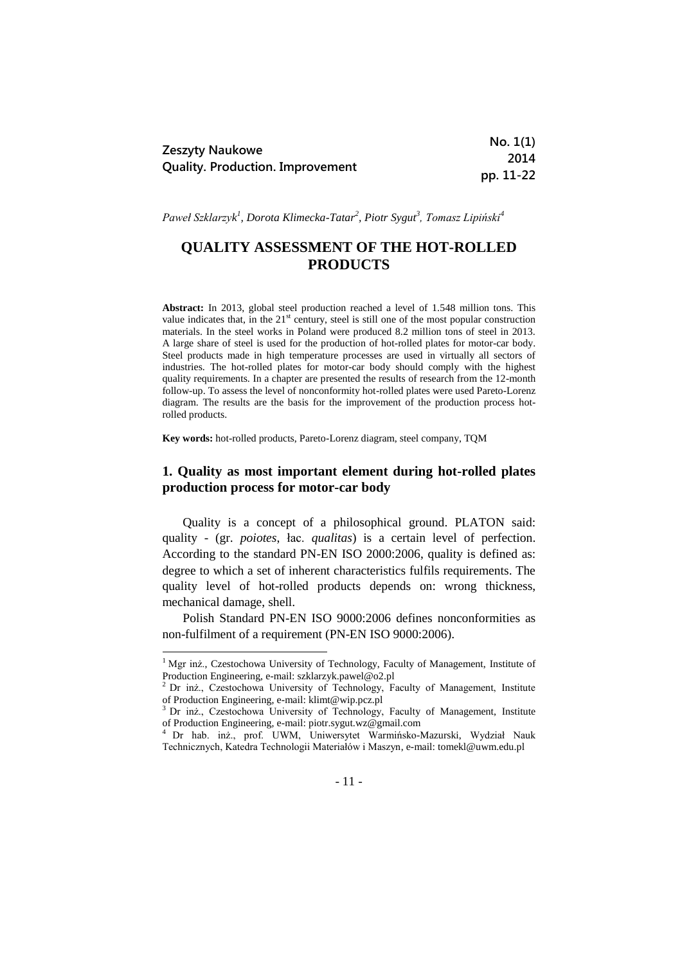| Zeszyty Naukowe<br><b>Quality. Production. Improvement</b> | No. 1(1)  |
|------------------------------------------------------------|-----------|
|                                                            | 2014      |
|                                                            | pp. 11-22 |

*Paweł Szklarzyk 1 , Dorota Klimecka-Tatar<sup>2</sup> , Piotr Sygut<sup>3</sup> , Tomasz Lipiński<sup>4</sup>*

# **QUALITY ASSESSMENT OF THE HOT-ROLLED PRODUCTS**

**Abstract:** In 2013, global steel production reached a level of 1.548 million tons. This value indicates that, in the  $21<sup>st</sup>$  century, steel is still one of the most popular construction materials. In the steel works in Poland were produced 8.2 million tons of steel in 2013. A large share of steel is used for the production of hot-rolled plates for motor-car body. Steel products made in high temperature processes are used in virtually all sectors of industries. The hot-rolled plates for motor-car body should comply with the highest quality requirements. In a chapter are presented the results of research from the 12-month follow-up. To assess the level of nonconformity hot-rolled plates were used Pareto-Lorenz diagram. The results are the basis for the improvement of the production process hotrolled products.

**Key words:** hot-rolled products, Pareto-Lorenz diagram, steel company, TQM

## **1. Quality as most important element during hot-rolled plates production process for motor-car body**

Quality is a concept of a philosophical ground. PLATON said: quality - [\(gr.](http://pl.wikipedia.org/wiki/J%C4%99zyk_grecki) *poiotes*, [łac.](http://pl.wikipedia.org/wiki/%C5%81acina) *qualitas*) is a certain level of perfection. According to the standard PN-EN ISO 2000:2006, quality is defined as: degree to which a set of inherent characteristics fulfils requirements. The quality level of hot-rolled products depends on: wrong thickness, mechanical damage, shell.

Polish Standard PN-EN ISO 9000:2006 defines nonconformities as non-fulfilment of a requirement (PN-EN ISO 9000:2006).

**.** 

<sup>&</sup>lt;sup>1</sup> Mgr inż., Czestochowa University of Technology, Faculty of Management, Institute of Production Engineering, e-mail: szklarzyk.pawel@o2.pl

<sup>&</sup>lt;sup>2</sup> Dr inż., Czestochowa University of Technology, Faculty of Management, Institute of Production Engineering, e-mail: klimt@wip.pcz.pl

<sup>&</sup>lt;sup>3</sup> Dr inż., Czestochowa University of Technology, Faculty of Management, Institute of Production Engineering, e-mail: piotr.sygut.wz@gmail.com

<sup>4</sup> Dr hab. inż., prof. UWM, Uniwersytet Warmińsko-Mazurski, Wydział Nauk Technicznych, Katedra Technologii Materiałów i Maszyn, e-mail: tomekl@uwm.edu.pl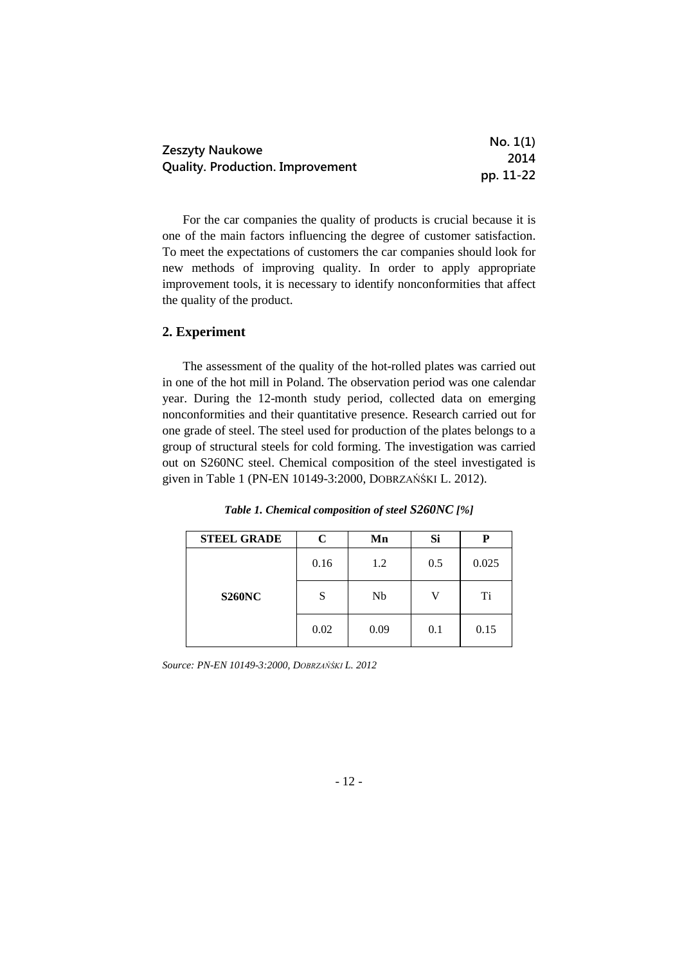| Zeszyty Naukowe<br><b>Quality. Production. Improvement</b> | No. 1(1)  |
|------------------------------------------------------------|-----------|
|                                                            | 2014      |
|                                                            | pp. 11-22 |

For the car companies the quality of products is crucial because it is one of the main factors influencing the degree of customer satisfaction. To meet the expectations of customers the car companies should look for new methods of improving quality. In order to apply appropriate improvement tools, it is necessary to identify nonconformities that affect the quality of the product.

### **2. Experiment**

The assessment of the quality of the hot-rolled plates was carried out in one of the hot mill in Poland. The observation period was one calendar year. During the 12-month study period, collected data on emerging nonconformities and their quantitative presence. Research carried out for one grade of steel. The steel used for production of the plates belongs to a group of structural steels for cold forming. The investigation was carried out on S260NC steel. Chemical composition of the steel investigated is given in Table 1 (PN-EN 10149-3:2000, DOBRZAŃŚKI L. 2012).

| <b>STEEL GRADE</b> | $\mathbf C$ | Mn   | Si  |       |
|--------------------|-------------|------|-----|-------|
|                    | 0.16        | 1.2  | 0.5 | 0.025 |
| <b>S260NC</b>      | S           | Nb   | V   | Ti    |
|                    | 0.02        | 0.09 | 0.1 | 0.15  |

*Table 1. Chemical composition of steel S260NC [%]*

*Source: PN-EN 10149-3:2000, DOBRZAŃŚKI L. 2012*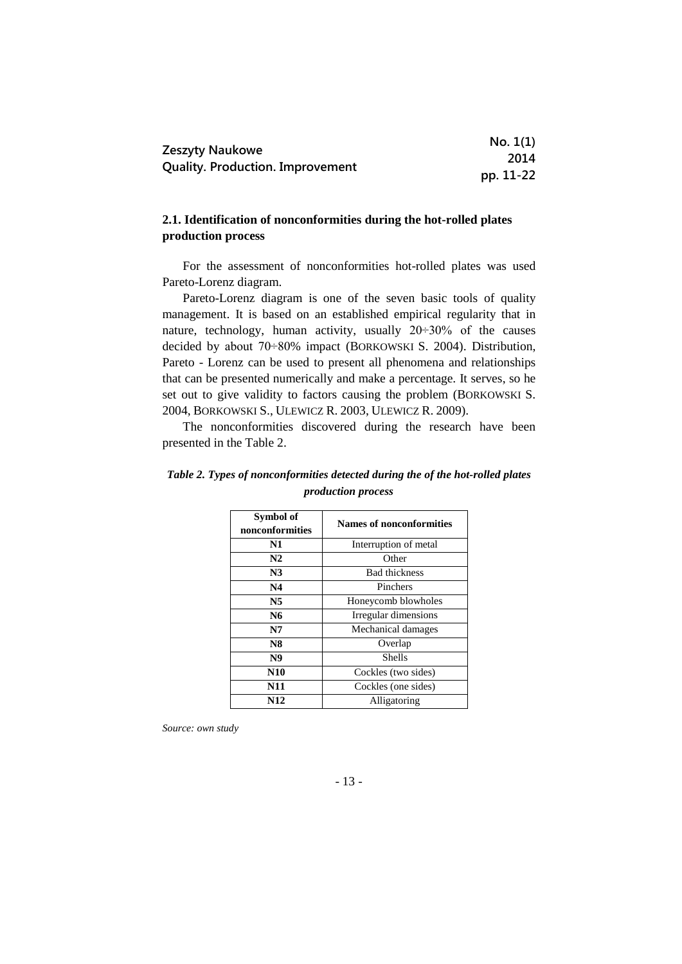| Zeszyty Naukowe<br><b>Quality. Production. Improvement</b> | No. 1(1)  |
|------------------------------------------------------------|-----------|
|                                                            | 2014      |
|                                                            | pp. 11-22 |

## **2.1. Identification of nonconformities during the hot-rolled plates production process**

For the assessment of nonconformities hot-rolled plates was used Pareto-Lorenz diagram.

Pareto-Lorenz diagram is one of the seven basic tools of quality management. It is based on an established empirical regularity that in nature, technology, human activity, usually  $20 \div 30\%$  of the causes decided by about 70÷80% impact (BORKOWSKI S. 2004). Distribution, Pareto - Lorenz can be used to present all phenomena and relationships that can be presented numerically and make a percentage. It serves, so he set out to give validity to factors causing the problem (BORKOWSKI S. 2004, BORKOWSKI S., ULEWICZ R. 2003, ULEWICZ R. 2009).

The nonconformities discovered during the research have been presented in the Table 2.

| Symbol of<br>nonconformities | <b>Names of nonconformities</b> |  |
|------------------------------|---------------------------------|--|
| N1                           | Interruption of metal           |  |
| N2                           | Other                           |  |
| N <sub>3</sub>               | <b>Bad thickness</b>            |  |
| N4                           | Pinchers                        |  |
| N <sub>5</sub>               | Honeycomb blowholes             |  |
| N6                           | Irregular dimensions            |  |
| N7                           | Mechanical damages              |  |
| <b>N8</b>                    | Overlap                         |  |
| N <sub>9</sub>               | Shells                          |  |
| <b>N10</b>                   | Cockles (two sides)             |  |
| N11                          | Cockles (one sides)             |  |
| N12                          | Alligatoring                    |  |

*Table 2. Types of nonconformities detected during the of the hot-rolled plates production process*

*Source: own study*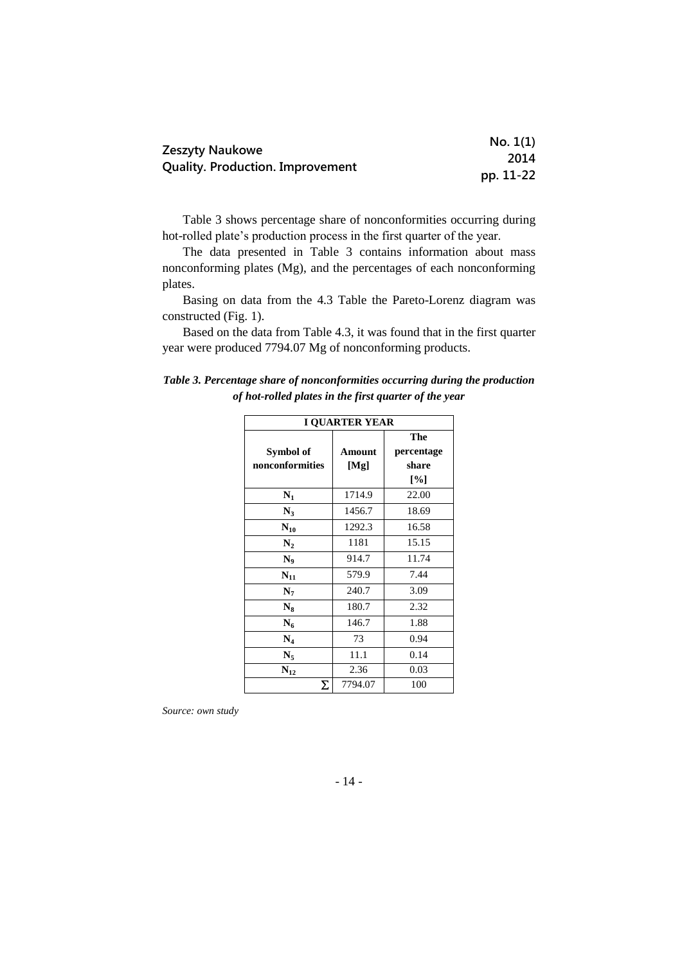| Zeszyty Naukowe<br><b>Quality. Production. Improvement</b> | No. 1(1)  |
|------------------------------------------------------------|-----------|
|                                                            | 2014      |
|                                                            | pp. 11-22 |

Table 3 shows percentage share of nonconformities occurring during hot-rolled plate's production process in the first quarter of the year.

The data presented in Table 3 contains information about mass nonconforming plates (Mg), and the percentages of each nonconforming plates.

Basing on data from the 4.3 Table the Pareto-Lorenz diagram was constructed (Fig. 1).

Based on the data from Table 4.3, it was found that in the first quarter year were produced 7794.07 Mg of nonconforming products.

| Table 3. Percentage share of nonconformities occurring during the production |  |
|------------------------------------------------------------------------------|--|
| of hot-rolled plates in the first quarter of the year                        |  |

| <b>I QUARTER YEAR</b>                    |         |       |  |  |
|------------------------------------------|---------|-------|--|--|
| The<br>Symbol of<br>percentage<br>Amount |         |       |  |  |
| nonconformities                          | [Mg]    | share |  |  |
|                                          |         | [%]   |  |  |
| $N_1$                                    | 1714.9  | 22.00 |  |  |
| $N_3$                                    | 1456.7  | 18.69 |  |  |
| $N_{10}$                                 | 1292.3  | 16.58 |  |  |
| $\mathbf{N}_2$                           | 1181    | 15.15 |  |  |
| $N_{0}$                                  | 914.7   | 11.74 |  |  |
| $N_{11}$                                 | 579.9   | 7.44  |  |  |
| $N_7$                                    | 240.7   | 3.09  |  |  |
| $N_8$                                    | 180.7   | 2.32  |  |  |
| $N_6$                                    | 146.7   | 1.88  |  |  |
| $N_4$                                    | 73      | 0.94  |  |  |
| $N_{5}$                                  | 11.1    | 0.14  |  |  |
| $N_{12}$                                 | 2.36    | 0.03  |  |  |
| Σ                                        | 7794.07 | 100   |  |  |

*Source: own study*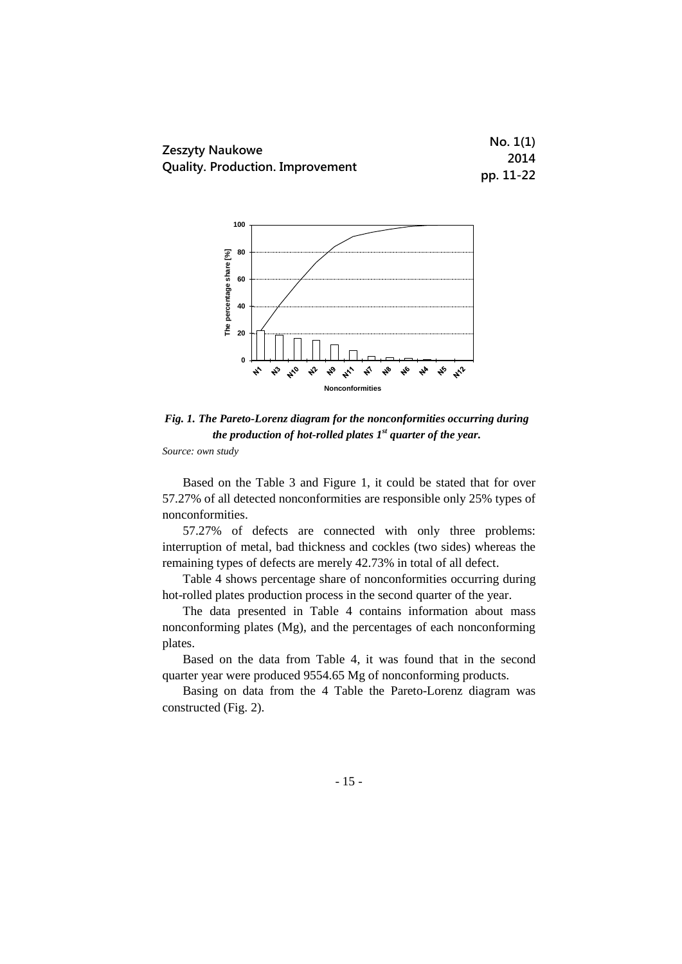



*Fig. 1. The Pareto-Lorenz diagram for the nonconformities occurring during the production of hot-rolled plates 1 st quarter of the year.*

Based on the Table 3 and Figure 1, it could be stated that for over 57.27% of all detected nonconformities are responsible only 25% types of nonconformities.

57.27% of defects are connected with only three problems: interruption of metal, bad thickness and cockles (two sides) whereas the remaining types of defects are merely 42.73% in total of all defect.

Table 4 shows percentage share of nonconformities occurring during hot-rolled plates production process in the second quarter of the year.

The data presented in Table 4 contains information about mass nonconforming plates (Mg), and the percentages of each nonconforming plates.

Based on the data from Table 4, it was found that in the second quarter year were produced 9554.65 Mg of nonconforming products.

Basing on data from the 4 Table the Pareto-Lorenz diagram was constructed (Fig. 2).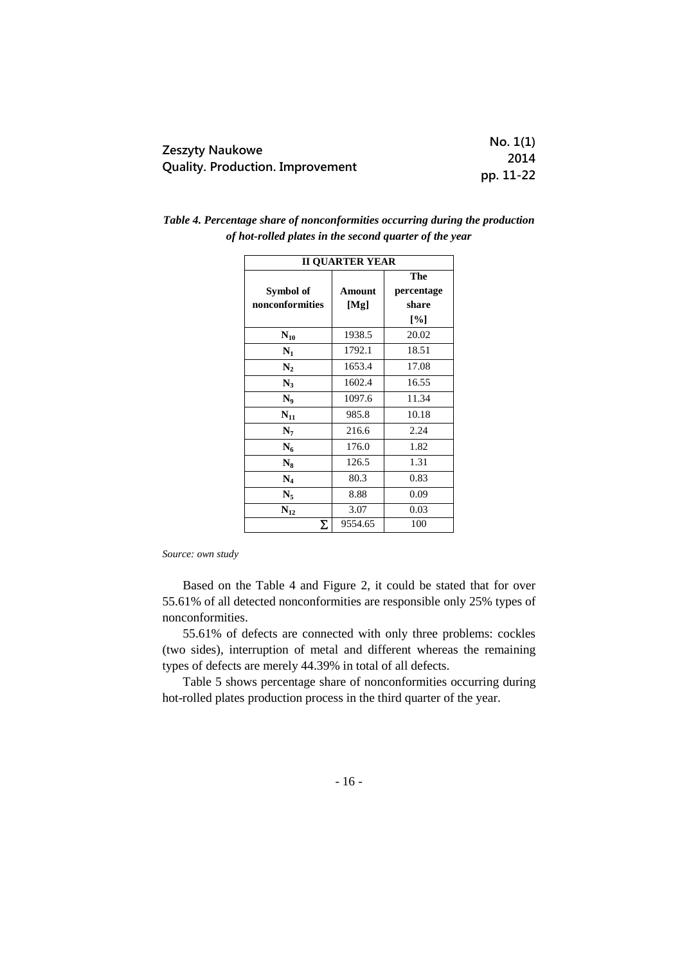| <b>Zeszyty Naukowe</b>                  | No. 1(1)  |
|-----------------------------------------|-----------|
| <b>Quality. Production. Improvement</b> | 2014      |
|                                         | pp. 11-22 |

| <b>II QUARTER YEAR</b> |         |                    |
|------------------------|---------|--------------------|
|                        |         | The                |
| Symbol of              | Amount  | percentage         |
| nonconformities        | [Mg]    | share              |
|                        |         | $\lceil \% \rceil$ |
| $N_{10}$               | 1938.5  | 20.02              |
| $\mathbf{N}_1$         | 1792.1  | 18.51              |
| $N_2$                  | 1653.4  | 17.08              |
| $N_3$                  | 1602.4  | 16.55              |
| $N_9$                  | 1097.6  | 11.34              |
| $N_{11}$               | 985.8   | 10.18              |
| N <sub>7</sub>         | 216.6   | 2.24               |
| $N_6$                  | 176.0   | 1.82               |
| $N_8$                  | 126.5   | 1.31               |
| $N_4$                  | 80.3    | 0.83               |
| $N_{5}$                | 8.88    | 0.09               |
| $N_{12}$               | 3.07    | 0.03               |
| Σ                      | 9554.65 | 100                |

*Table 4. Percentage share of nonconformities occurring during the production of hot-rolled plates in the second quarter of the year*

Based on the Table 4 and Figure 2, it could be stated that for over 55.61% of all detected nonconformities are responsible only 25% types of nonconformities.

55.61% of defects are connected with only three problems: cockles (two sides), interruption of metal and different whereas the remaining types of defects are merely 44.39% in total of all defects.

Table 5 shows percentage share of nonconformities occurring during hot-rolled plates production process in the third quarter of the year.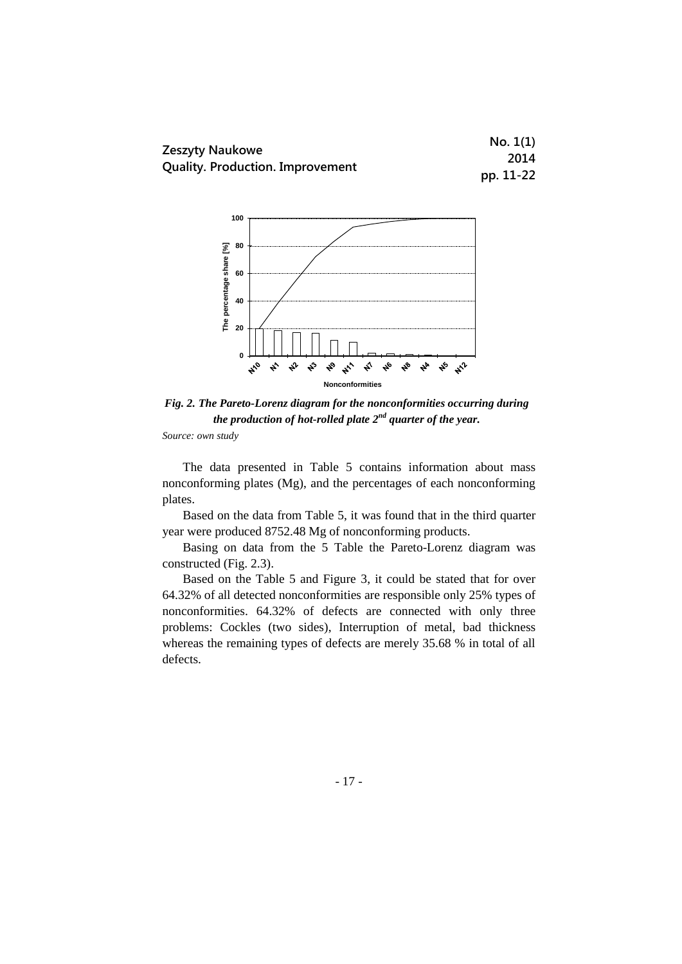



*Fig. 2. The Pareto-Lorenz diagram for the nonconformities occurring during the production of hot-rolled plate 2nd quarter of the year.*

The data presented in Table 5 contains information about mass nonconforming plates (Mg), and the percentages of each nonconforming plates.

Based on the data from Table 5, it was found that in the third quarter year were produced 8752.48 Mg of nonconforming products.

Basing on data from the 5 Table the Pareto-Lorenz diagram was constructed (Fig. 2.3).

Based on the Table 5 and Figure 3, it could be stated that for over 64.32% of all detected nonconformities are responsible only 25% types of nonconformities. 64.32% of defects are connected with only three problems: Cockles (two sides), Interruption of metal, bad thickness whereas the remaining types of defects are merely 35.68 % in total of all defects.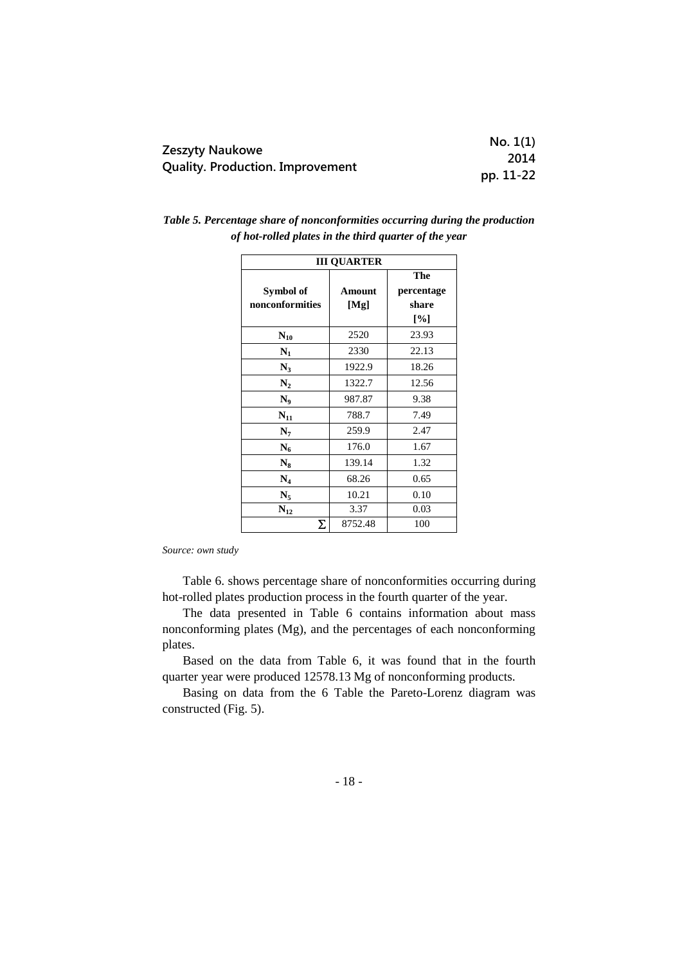| Zeszyty Naukowe<br><b>Quality. Production. Improvement</b> | No. 1(1)  |
|------------------------------------------------------------|-----------|
|                                                            | 2014      |
|                                                            | pp. 11-22 |

| <b>III QUARTER</b> |         |                    |
|--------------------|---------|--------------------|
|                    |         | The                |
| Symbol of          | Amount  | percentage         |
| nonconformities    | [Mg]    | share              |
|                    |         | $\lceil \% \rceil$ |
| $N_{10}$           | 2520    | 23.93              |
| $N_1$              | 2330    | 22.13              |
| $N_3$              | 1922.9  | 18.26              |
| $\mathbf{N}_2$     | 1322.7  | 12.56              |
| $N_9$              | 987.87  | 9.38               |
| $N_{11}$           | 788.7   | 7.49               |
| $N_7$              | 259.9   | 2.47               |
| $N_6$              | 176.0   | 1.67               |
| $N_8$              | 139.14  | 1.32               |
| $N_4$              | 68.26   | 0.65               |
| N <sub>5</sub>     | 10.21   | 0.10               |
| $N_{12}$           | 3.37    | 0.03               |
| Σ                  | 8752.48 | 100                |

| Table 5. Percentage share of nonconformities occurring during the production |  |
|------------------------------------------------------------------------------|--|
| of hot-rolled plates in the third quarter of the year                        |  |

Table 6. shows percentage share of nonconformities occurring during hot-rolled plates production process in the fourth quarter of the year.

The data presented in Table 6 contains information about mass nonconforming plates (Mg), and the percentages of each nonconforming plates.

Based on the data from Table 6, it was found that in the fourth quarter year were produced 12578.13 Mg of nonconforming products.

Basing on data from the 6 Table the Pareto-Lorenz diagram was constructed (Fig. 5).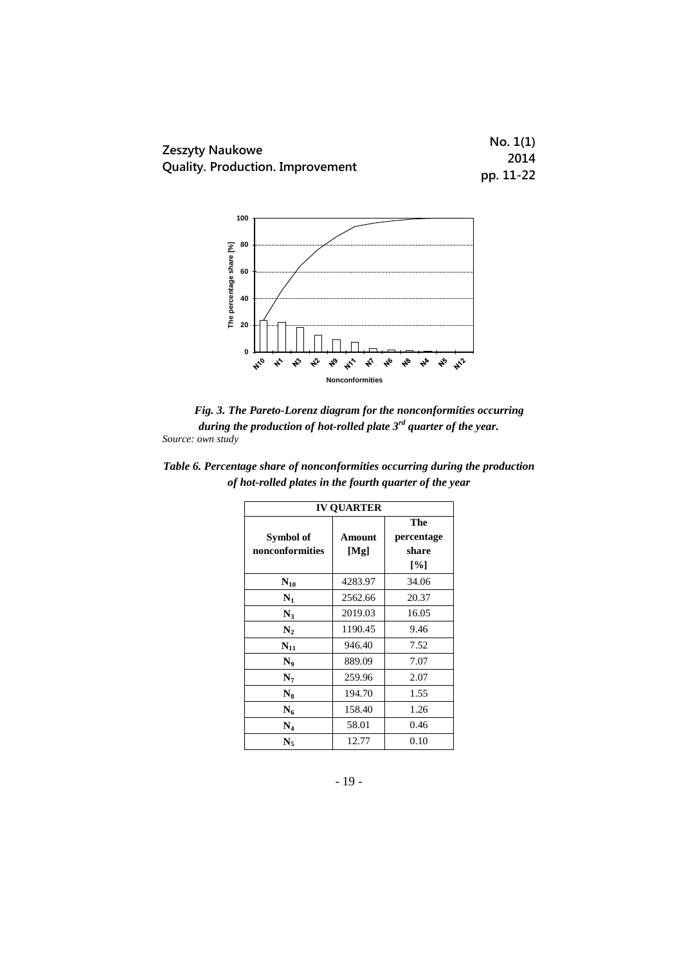



*Fig. 3. The Pareto-Lorenz diagram for the nonconformities occurring during the production of hot-rolled plate 3rd quarter of the year. Source: own study*

| <b>IV OUARTER</b> |         |            |  |
|-------------------|---------|------------|--|
|                   |         | The        |  |
| Symbol of         | Amount  | percentage |  |
| nonconformities   | [Mg]    | share      |  |
|                   |         | [%]        |  |
| $N_{10}$          | 4283.97 | 34.06      |  |
| $\mathbf{N}_1$    | 2562.66 | 20.37      |  |
| N3                | 2019.03 | 16.05      |  |
| $\mathbf{N}_2$    | 1190.45 | 9.46       |  |
| $N_{11}$          | 946.40  | 7.52       |  |
| N0                | 889.09  | 7.07       |  |
| N7                | 259.96  | 2.07       |  |
| $N_8$             | 194.70  | 1.55       |  |
| $N_6$             | 158.40  | 1.26       |  |
| $\rm N_4$         | 58.01   | 0.46       |  |
| N,                | 12.77   | 0.10       |  |

*Table 6. Percentage share of nonconformities occurring during the production of hot-rolled plates in the fourth quarter of the year*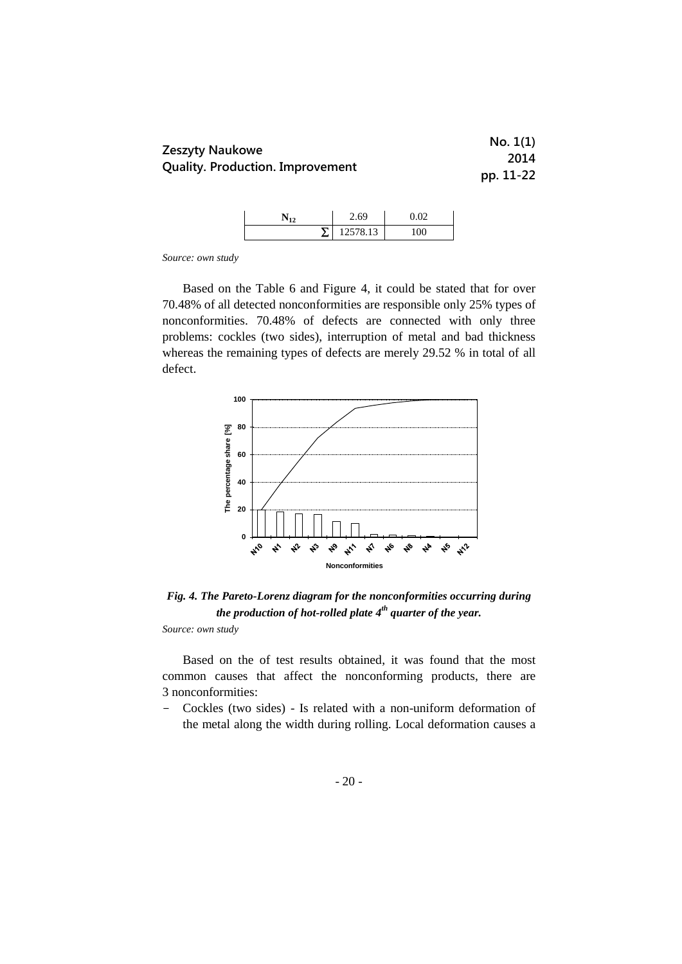|                                         | No. 1(1)  |
|-----------------------------------------|-----------|
| Zeszyty Naukowe                         | 2014      |
| <b>Quality. Production. Improvement</b> | pp. 11-22 |

|  | 60       |    |
|--|----------|----|
|  | 12578.13 | 00 |

Based on the Table 6 and Figure 4, it could be stated that for over 70.48% of all detected nonconformities are responsible only 25% types of nonconformities. 70.48% of defects are connected with only three problems: cockles (two sides), interruption of metal and bad thickness whereas the remaining types of defects are merely 29.52 % in total of all defect.



*Fig. 4. The Pareto-Lorenz diagram for the nonconformities occurring during the production of hot-rolled plate 4th quarter of the year.*

*Source: own study*

Based on the of test results obtained, it was found that the most common causes that affect the nonconforming products, there are 3 nonconformities:

- Cockles (two sides) - Is related with a non-uniform deformation of the metal along the width during rolling. Local deformation causes a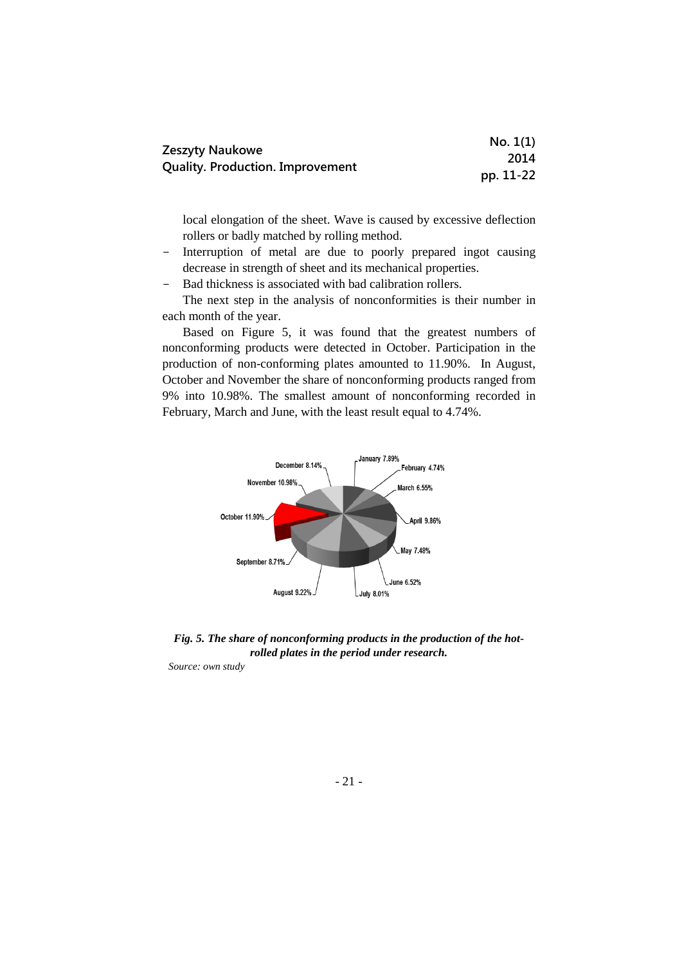| Zeszyty Naukowe                         | No. 1(1)  |
|-----------------------------------------|-----------|
| <b>Quality. Production. Improvement</b> | 2014      |
|                                         | pp. 11-22 |

local elongation of the sheet. Wave is caused by excessive deflection rollers or badly matched by rolling method.

- Interruption of metal are due to poorly prepared ingot causing decrease in strength of sheet and its mechanical properties.
- Bad thickness is associated with bad calibration rollers.

The next step in the analysis of nonconformities is their number in each month of the year.

Based on Figure 5, it was found that the greatest numbers of nonconforming products were detected in October. Participation in the production of non-conforming plates amounted to 11.90%. In August, October and November the share of nonconforming products ranged from 9% into 10.98%. The smallest amount of nonconforming recorded in February, March and June, with the least result equal to 4.74%.



*Fig. 5. The share of nonconforming products in the production of the hotrolled plates in the period under research.*

*Source: own study*